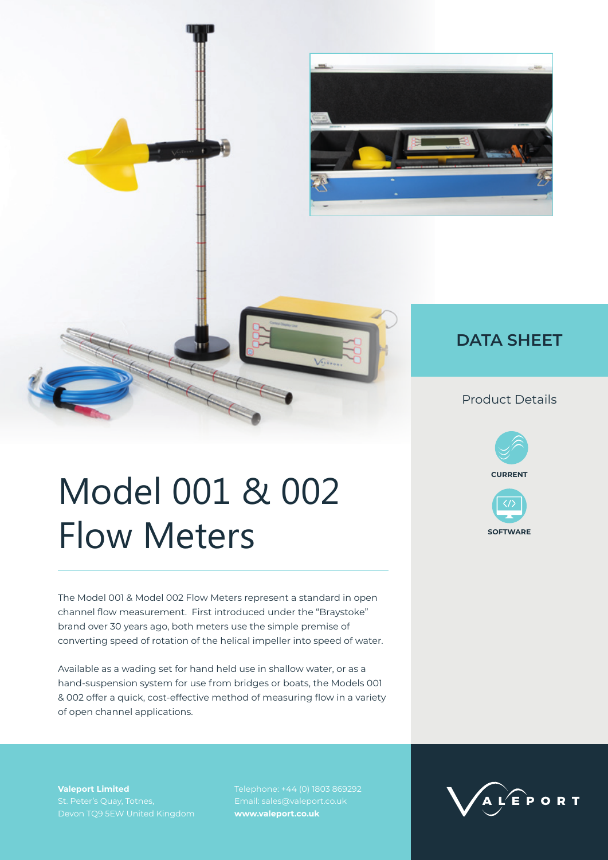

## **DATA SHEET**

### Product Details





# Model 001 & 002 Flow Meters

The Model 001 & Model 002 Flow Meters represent a standard in open channel flow measurement. First introduced under the "Braystoke" brand over 30 years ago, both meters use the simple premise of converting speed of rotation of the helical impeller into speed of water.

Available as a wading set for hand held use in shallow water, or as a hand-suspension system for use from bridges or boats, the Models 001 & 002 offer a quick, cost-effective method of measuring flow in a variety of open channel applications.

**Valeport Limited**

Telephone: +44 (0) 1803 869292 Email: sales@valeport.co.uk **www.valeport.co.uk**